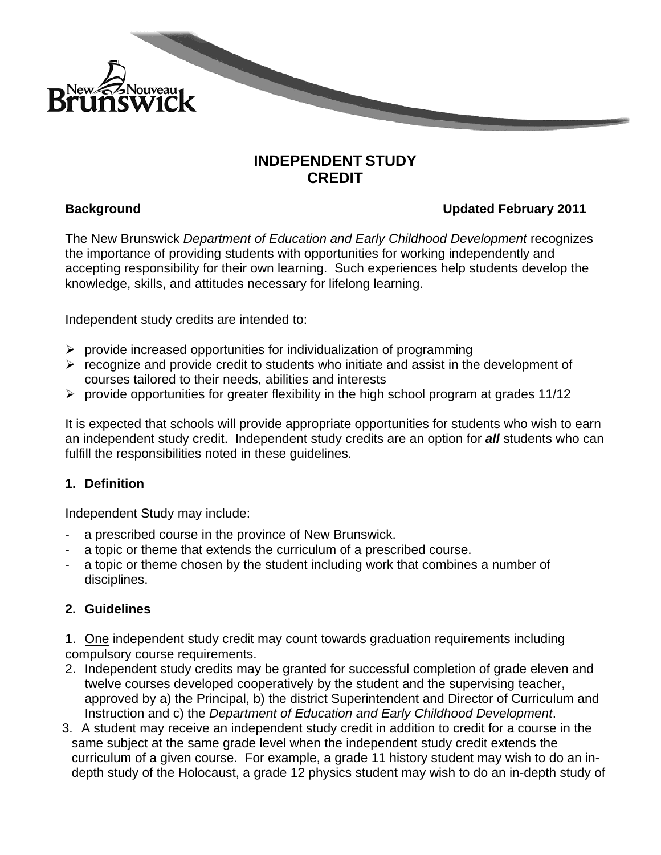

# **INDEPENDENT STUDY CREDIT**

# **Background Updated February 2011**

The New Brunswick *Department of Education and Early Childhood Development* recognizes the importance of providing students with opportunities for working independently and accepting responsibility for their own learning. Such experiences help students develop the knowledge, skills, and attitudes necessary for lifelong learning.

Independent study credits are intended to:

- $\triangleright$  provide increased opportunities for individualization of programming
- $\triangleright$  recognize and provide credit to students who initiate and assist in the development of courses tailored to their needs, abilities and interests
- $\triangleright$  provide opportunities for greater flexibility in the high school program at grades 11/12

It is expected that schools will provide appropriate opportunities for students who wish to earn an independent study credit. Independent study credits are an option for *all* students who can fulfill the responsibilities noted in these guidelines.

### **1. Definition**

Independent Study may include:

- a prescribed course in the province of New Brunswick.
- a topic or theme that extends the curriculum of a prescribed course.
- a topic or theme chosen by the student including work that combines a number of disciplines.

### **2. Guidelines**

1. One independent study credit may count towards graduation requirements including compulsory course requirements.

- 2. Independent study credits may be granted for successful completion of grade eleven and twelve courses developed cooperatively by the student and the supervising teacher, approved by a) the Principal, b) the district Superintendent and Director of Curriculum and Instruction and c) the *Department of Education and Early Childhood Development*.
- 3. A student may receive an independent study credit in addition to credit for a course in the same subject at the same grade level when the independent study credit extends the curriculum of a given course. For example, a grade 11 history student may wish to do an indepth study of the Holocaust, a grade 12 physics student may wish to do an in-depth study of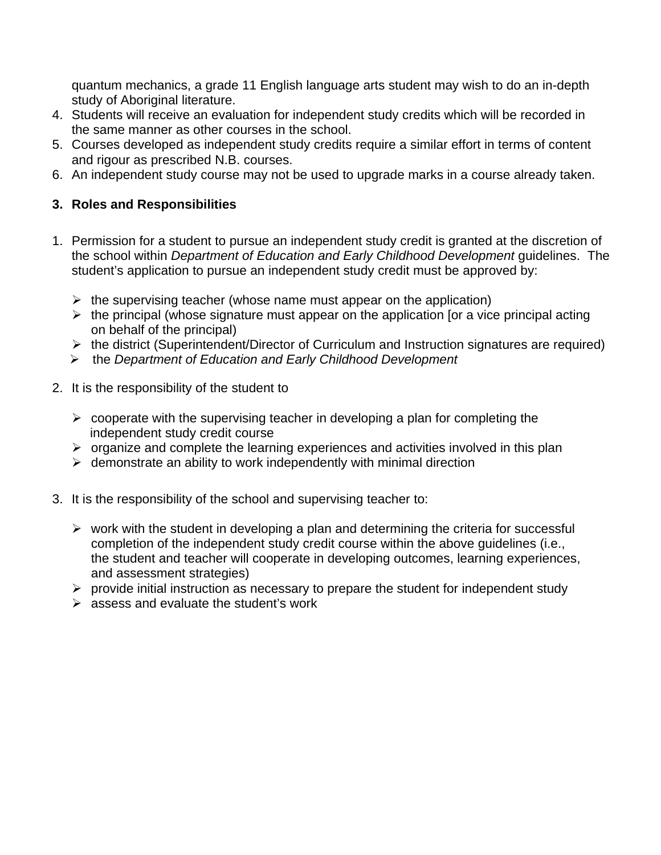quantum mechanics, a grade 11 English language arts student may wish to do an in-depth study of Aboriginal literature.

- 4. Students will receive an evaluation for independent study credits which will be recorded in the same manner as other courses in the school.
- 5. Courses developed as independent study credits require a similar effort in terms of content and rigour as prescribed N.B. courses.
- 6. An independent study course may not be used to upgrade marks in a course already taken.

# **3. Roles and Responsibilities**

- 1. Permission for a student to pursue an independent study credit is granted at the discretion of the school within *Department of Education and Early Childhood Development* guidelines. The student's application to pursue an independent study credit must be approved by:
	- $\triangleright$  the supervising teacher (whose name must appear on the application)
	- $\triangleright$  the principal (whose signature must appear on the application [or a vice principal acting on behalf of the principal)
	- $\triangleright$  the district (Superintendent/Director of Curriculum and Instruction signatures are required)
	- the *Department of Education and Early Childhood Development*
- 2. It is the responsibility of the student to
	- $\triangleright$  cooperate with the supervising teacher in developing a plan for completing the independent study credit course
	- $\triangleright$  organize and complete the learning experiences and activities involved in this plan
	- $\triangleright$  demonstrate an ability to work independently with minimal direction
- 3. It is the responsibility of the school and supervising teacher to:
	- $\triangleright$  work with the student in developing a plan and determining the criteria for successful completion of the independent study credit course within the above guidelines (i.e., the student and teacher will cooperate in developing outcomes, learning experiences, and assessment strategies)
	- $\triangleright$  provide initial instruction as necessary to prepare the student for independent study
	- $\triangleright$  assess and evaluate the student's work